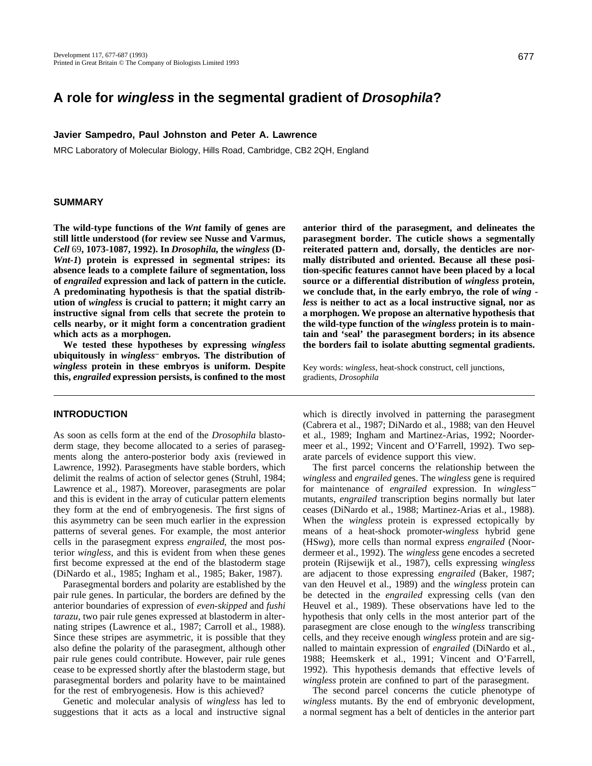# **A role for wingless in the segmental gradient of Drosophila?**

### **Javier Sampedro, Paul Johnston and Peter A. Lawrence**

MRC Laboratory of Molecular Biology, Hills Road, Cambridge, CB2 2QH, England

## **SUMMARY**

**The wild-type functions of the** *Wnt* **family of genes are still little understood (for review see Nusse and Varmus,** *Cell* 69**, 1073-1087, 1992). In** *Drosophila***, the** *wingless* **(D-***Wnt-1***) protein is expressed in segmental stripes: its absence leads to a complete failure of segmentation, loss of** *engrailed* **expression and lack of pattern in the cuticle. A predominating hypothesis is that the spatial distribution of** *wingless* **is crucial to pattern; it might carry an instructive signal from cells that secrete the protein to cells nearby, or it might form a concentration gradient which acts as a morphogen.**

**We tested these hypotheses by expressing** *wingless* **ubiquitously in** *wingless* **embryos. The distribution of** *wingless* **protein in these embryos is uniform. Despite this,** *engrailed* **expression persists, is confined to the most**

## **INTRODUCTION**

As soon as cells form at the end of the *Drosophila* blastoderm stage, they become allocated to a series of parasegments along the antero-posterior body axis (reviewed in Lawrence, 1992). Parasegments have stable borders, which delimit the realms of action of selector genes (Struhl, 1984; Lawrence et al., 1987). Moreover, parasegments are polar and this is evident in the array of cuticular pattern elements they form at the end of embryogenesis. The first signs of this asymmetry can be seen much earlier in the expression patterns of several genes. For example, the most anterior cells in the parasegment express *engrailed*, the most posterior *wingless*, and this is evident from when these genes first become expressed at the end of the blastoderm stage (DiNardo et al., 1985; Ingham et al., 1985; Baker, 1987).

Parasegmental borders and polarity are established by the pair rule genes. In particular, the borders are defined by the anterior boundaries of expression of *even-skipped* and *fushi tarazu*, two pair rule genes expressed at blastoderm in alternating stripes (Lawrence et al., 1987; Carroll et al., 1988). Since these stripes are asymmetric, it is possible that they also define the polarity of the parasegment, although other pair rule genes could contribute. However, pair rule genes cease to be expressed shortly after the blastoderm stage, but parasegmental borders and polarity have to be maintained for the rest of embryogenesis. How is this achieved?

Genetic and molecular analysis of *wingless* has led to suggestions that it acts as a local and instructive signal **anterior third of the parasegment, and delineates the parasegment border. The cuticle shows a segmentally reiterated pattern and, dorsally, the denticles are normally distributed and oriented. Because all these position-specific features cannot have been placed by a local source or a differential distribution of** *wingless* **protein, we conclude that, in the early embryo, the role of** *wing less* **is neither to act as a local instructive signal, nor as a morphogen. We propose an alternative hypothesis that the wild-type function of the** *wingless* **protein is to maintain and 'seal' the parasegment borders; in its absence the borders fail to isolate abutting segmental gradients.**

Key words: *wingless*, heat-shock construct, cell junctions, gradients, *Drosophila*

which is directly involved in patterning the parasegment (Cabrera et al., 1987; DiNardo et al., 1988; van den Heuvel et al., 1989; Ingham and Martinez-Arias, 1992; Noordermeer et al., 1992; Vincent and O'Farrell, 1992). Two separate parcels of evidence support this view.

The first parcel concerns the relationship between the *wingless* and *engrailed* genes. The *wingless* gene is required for maintenance of *engrailed* expression. In *wingless*<sup>−</sup> mutants, *engrailed* transcription begins normally but later ceases (DiNardo et al., 1988; Martinez-Arias et al., 1988). When the *wingless* protein is expressed ectopically by means of a heat-shock promoter-*wingless* hybrid gene (HS*wg*), more cells than normal express *engrailed* (Noordermeer et al., 1992). The *wingless* gene encodes a secreted protein (Rijsewijk et al., 1987), cells expressing *wingless* are adjacent to those expressing *engrailed* (Baker, 1987; van den Heuvel et al., 1989) and the *wingless* protein can be detected in the *engrailed* expressing cells (van den Heuvel et al., 1989). These observations have led to the hypothesis that only cells in the most anterior part of the parasegment are close enough to the *wingless* transcribing cells, and they receive enough *wingless* protein and are signalled to maintain expression of *engrailed* (DiNardo et al., 1988; Heemskerk et al., 1991; Vincent and O'Farrell, 1992). This hypothesis demands that effective levels of *wingless* protein are confined to part of the parasegment.

The second parcel concerns the cuticle phenotype of *wingless* mutants. By the end of embryonic development, a normal segment has a belt of denticles in the anterior part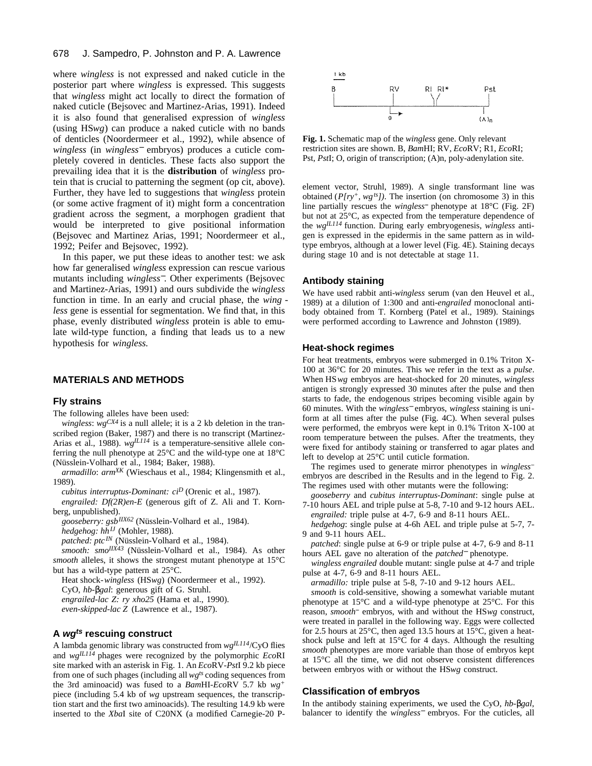where *wingless* is not expressed and naked cuticle in the posterior part where *wingless* is expressed. This suggests that *wingless* might act locally to direct the formation of naked cuticle (Bejsovec and Martinez-Arias, 1991). Indeed it is also found that generalised expression of *wingless* (using HS*wg*) can produce a naked cuticle with no bands of denticles (Noordermeer et al., 1992), while absence of *wingless* (in *wingless*<sup>−</sup> embryos) produces a cuticle completely covered in denticles. These facts also support the prevailing idea that it is the **distribution** of *wingless* protein that is crucial to patterning the segment (op cit, above). Further, they have led to suggestions that *wingless* protein (or some active fragment of it) might form a concentration gradient across the segment, a morphogen gradient that would be interpreted to give positional information (Bejsovec and Martinez Arias, 1991; Noordermeer et al., 1992; Peifer and Bejsovec, 1992).

In this paper, we put these ideas to another test: we ask how far generalised *wingless* expression can rescue various mutants including *wingless*−. Other experiments (Bejsovec and Martinez-Arias, 1991) and ours subdivide the *wingless* function in time. In an early and crucial phase, the *wing less* gene is essential for segmentation. We find that, in this phase, evenly distributed *wingless* protein is able to emulate wild-type function, a finding that leads us to a new hypothesis for *wingless*.

#### **MATERIALS AND METHODS**

#### **Fly strains**

The following alleles have been used:

*wingless*: *wgCX4* is a null allele; it is a 2 kb deletion in the transcribed region (Baker, 1987) and there is no transcript (Martinez-Arias et al., 1988). *wgIL114* is a temperature-sensitive allele conferring the null phenotype at 25°C and the wild-type one at 18°C (Nüsslein-Volhard et al., 1984; Baker, 1988).

*armadillo*: *armXK* (Wieschaus et al., 1984; Klingensmith et al., 1989).

*cubitus interruptus-Dominant: ci<sup>D</sup>* (Orenic et al., 1987).

*engrailed: Df(2R)en-E* (generous gift of Z. Ali and T. Kornberg, unpublished).

*gooseberry: gsbIIX62* (Nüsslein-Volhard et al., 1984).

*hedgehog: hhIJ* (Mohler, 1988).

*patched: ptcIN* (Nüsslein-Volhard et al., 1984).

*smooth: smoIIX43* (Nüsslein-Volhard et al., 1984). As other *smooth* alleles, it shows the strongest mutant phenotype at 15°C but has a wild-type pattern at 25°C.

Heat shock-*wingless* (HS*wg*) (Noordermeer et al., 1992).

CyO, *hb- gal*: generous gift of G. Struhl.

*engrailed-lac Z: ry xho25* (Hama et al., 1990).

*even-skipped-lac Z* (Lawrence et al., 1987).

## **A wgts rescuing construct**

A lambda genomic library was constructed from *wgIL114*/CyO flies and *wgIL114* phages were recognized by the polymorphic *Eco*RI site marked with an asterisk in Fig. 1. An *Eco*RV-*Pst*I 9.2 kb piece from one of such phages (including all *wgts* coding sequences from the 3rd aminoacid) was fused to a *Bam*HI-*Eco*RV 5.7 kb *wg<sup>+</sup>* piece (including 5.4 kb of *wg* upstream sequences, the transcription start and the first two aminoacids). The resulting 14.9 kb were inserted to the *Xba*I site of C20NX (a modified Carnegie-20 P-



**Fig. 1.** Schematic map of the *wingless* gene. Only relevant restriction sites are shown. B, *Bam*HI; RV, *Eco*RV; R1, *Eco*RI; Pst, *Pst*I; O, origin of transcription; (A)n, poly-adenylation site.

element vector, Struhl, 1989). A single transformant line was obtained (*P[ry+, wgts])*. The insertion (on chromosome 3) in this line partially rescues the *wingless* phenotype at 18°C (Fig. 2F) but not at 25°C, as expected from the temperature dependence of the *wgIL114* function. During early embryogenesis, *wingless* antigen is expressed in the epidermis in the same pattern as in wildtype embryos, although at a lower level (Fig. 4E). Staining decays during stage 10 and is not detectable at stage 11.

#### **Antibody staining**

We have used rabbit anti-*wingless* serum (van den Heuvel et al., 1989) at a dilution of 1:300 and anti-*engrailed* monoclonal antibody obtained from T. Kornberg (Patel et al., 1989). Stainings were performed according to Lawrence and Johnston (1989).

## **Heat-shock regimes**

For heat treatments, embryos were submerged in 0.1% Triton X-100 at 36°C for 20 minutes. This we refer in the text as a *pulse*. When HS*wg* embryos are heat-shocked for 20 minutes, *wingless* antigen is strongly expressed 30 minutes after the pulse and then starts to fade, the endogenous stripes becoming visible again by 60 minutes. With the *wingless*<sup>−</sup> embryos, *wingless* staining is uniform at all times after the pulse (Fig. 4C). When several pulses were performed, the embryos were kept in 0.1% Triton X-100 at room temperature between the pulses. After the treatments, they were fixed for antibody staining or transferred to agar plates and left to develop at 25°C until cuticle formation.

The regimes used to generate mirror phenotypes in *wingless* embryos are described in the Results and in the legend to Fig. 2. The regimes used with other mutants were the following:

*gooseberry* and *cubitus interruptus-Dominant*: single pulse at 7-10 hours AEL and triple pulse at 5-8, 7-10 and 9-12 hours AEL. *engrailed:* triple pulse at 4-7, 6-9 and 8-11 hours AEL.

*hedgehog*: single pulse at 4-6h AEL and triple pulse at 5-7, 7- 9 and 9-11 hours AEL.

*patched*: single pulse at 6-9 or triple pulse at 4-7, 6-9 and 8-11 hours AEL gave no alteration of the *patched*<sup>−</sup> phenotype.

*wingless engrailed* double mutant: single pulse at 4-7 and triple pulse at 4-7, 6-9 and 8-11 hours AEL.

*armadillo:* triple pulse at 5-8, 7-10 and 9-12 hours AEL.

*smooth* is cold-sensitive, showing a somewhat variable mutant phenotype at 15°C and a wild-type phenotype at 25°C. For this reason, *smooth* embryos, with and without the HS*wg* construct, were treated in parallel in the following way. Eggs were collected for 2.5 hours at 25°C, then aged 13.5 hours at 15°C, given a heatshock pulse and left at 15°C for 4 days. Although the resulting *smooth* phenotypes are more variable than those of embryos kept at 15°C all the time, we did not observe consistent differences between embryos with or without the HS*wg* construct.

### **Classification of embryos**

In the antibody staining experiments, we used the CyO, *hb- gal*, balancer to identify the *wingless*<sup>−</sup> embryos. For the cuticles, all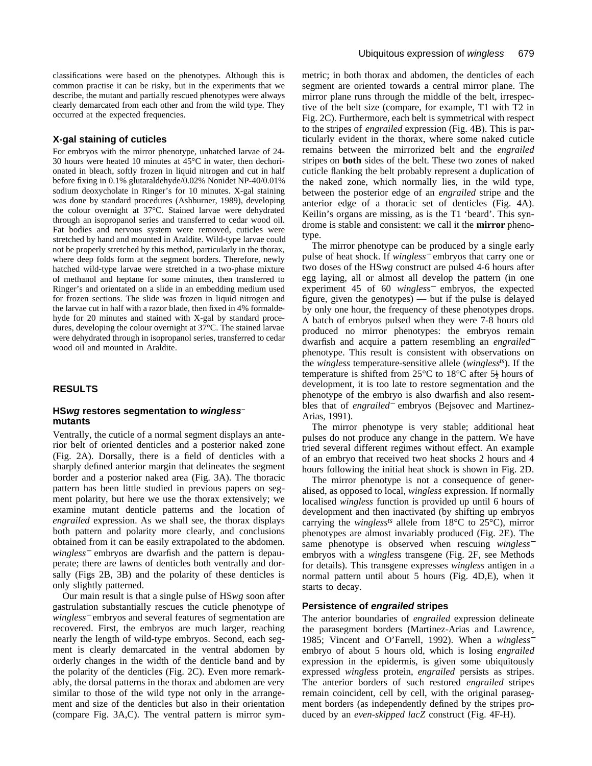classifications were based on the phenotypes. Although this is common practise it can be risky, but in the experiments that we describe, the mutant and partially rescued phenotypes were always clearly demarcated from each other and from the wild type. They occurred at the expected frequencies.

### **X-gal staining of cuticles**

For embryos with the mirror phenotype, unhatched larvae of 24- 30 hours were heated 10 minutes at 45°C in water, then dechorionated in bleach, softly frozen in liquid nitrogen and cut in half before fixing in 0.1% glutaraldehyde/0.02% Nonidet NP-40/0.01% sodium deoxycholate in Ringer's for 10 minutes. X-gal staining was done by standard procedures (Ashburner, 1989), developing the colour overnight at 37°C. Stained larvae were dehydrated through an isopropanol series and transferred to cedar wood oil. Fat bodies and nervous system were removed, cuticles were stretched by hand and mounted in Araldite. Wild-type larvae could not be properly stretched by this method, particularly in the thorax, where deep folds form at the segment borders. Therefore, newly hatched wild-type larvae were stretched in a two-phase mixture of methanol and heptane for some minutes, then transferred to Ringer's and orientated on a slide in an embedding medium used for frozen sections. The slide was frozen in liquid nitrogen and the larvae cut in half with a razor blade, then fixed in 4% formaldehyde for 20 minutes and stained with X-gal by standard procedures, developing the colour overnight at 37°C. The stained larvae were dehydrated through in isopropanol series, transferred to cedar wood oil and mounted in Araldite.

## **RESULTS**

### **HSwg restores segmentation to wingless mutants**

Ventrally, the cuticle of a normal segment displays an anterior belt of oriented denticles and a posterior naked zone (Fig. 2A). Dorsally, there is a field of denticles with a sharply defined anterior margin that delineates the segment border and a posterior naked area (Fig. 3A). The thoracic pattern has been little studied in previous papers on segment polarity, but here we use the thorax extensively; we examine mutant denticle patterns and the location of *engrailed* expression. As we shall see, the thorax displays both pattern and polarity more clearly, and conclusions obtained from it can be easily extrapolated to the abdomen. *wingless*<sup>−</sup> embryos are dwarfish and the pattern is depauperate; there are lawns of denticles both ventrally and dorsally (Figs 2B, 3B) and the polarity of these denticles is only slightly patterned.

Our main result is that a single pulse of HS*wg* soon after gastrulation substantially rescues the cuticle phenotype of *wingless*<sup>−</sup> embryos and several features of segmentation are recovered. First, the embryos are much larger, reaching nearly the length of wild-type embryos. Second, each segment is clearly demarcated in the ventral abdomen by orderly changes in the width of the denticle band and by the polarity of the denticles (Fig. 2C). Even more remarkably, the dorsal patterns in the thorax and abdomen are very similar to those of the wild type not only in the arrangement and size of the denticles but also in their orientation (compare Fig. 3A,C). The ventral pattern is mirror symmetric; in both thorax and abdomen, the denticles of each segment are oriented towards a central mirror plane. The mirror plane runs through the middle of the belt, irrespective of the belt size (compare, for example, T1 with T2 in Fig. 2C). Furthermore, each belt is symmetrical with respect to the stripes of *engrailed* expression (Fig. 4B). This is particularly evident in the thorax, where some naked cuticle remains between the mirrorized belt and the *engrailed* stripes on **both** sides of the belt. These two zones of naked cuticle flanking the belt probably represent a duplication of the naked zone, which normally lies, in the wild type, between the posterior edge of an *engrailed* stripe and the anterior edge of a thoracic set of denticles (Fig. 4A). Keilin's organs are missing, as is the T1 'beard'. This syndrome is stable and consistent: we call it the **mirror** phenotype.

The mirror phenotype can be produced by a single early pulse of heat shock. If *wingless*<sup>−</sup> embryos that carry one or two doses of the HS*wg* construct are pulsed 4-6 hours after egg laying, all or almost all develop the pattern (in one experiment 45 of 60 *wingless*<sup>−</sup> embryos, the expected figure, given the genotypes) — but if the pulse is delayed by only one hour, the frequency of these phenotypes drops. A batch of embryos pulsed when they were 7-8 hours old produced no mirror phenotypes: the embryos remain dwarfish and acquire a pattern resembling an *engrailed*<sup>−</sup> phenotype. This result is consistent with observations on the *wingless* temperature-sensitive allele (*winglessts*). If the temperature is shifted from 25 $\degree$ C to 18 $\degree$ C after 5 $\frac{1}{2}$  hours of development, it is too late to restore segmentation and the phenotype of the embryo is also dwarfish and also resembles that of *engrailed*<sup>−</sup> embryos (Bejsovec and Martinez-Arias, 1991).

The mirror phenotype is very stable; additional heat pulses do not produce any change in the pattern. We have tried several different regimes without effect. An example of an embryo that received two heat shocks 2 hours and 4 hours following the initial heat shock is shown in Fig. 2D.

The mirror phenotype is not a consequence of generalised, as opposed to local, *wingless* expression. If normally localised *wingless* function is provided up until 6 hours of development and then inactivated (by shifting up embryos carrying the *winglessts* allele from 18°C to 25°C), mirror phenotypes are almost invariably produced (Fig. 2E). The same phenotype is observed when rescuing *wingless*<sup>−</sup> embryos with a *wingless* transgene (Fig. 2F, see Methods for details). This transgene expresses *wingless* antigen in a normal pattern until about 5 hours (Fig. 4D,E), when it starts to decay.

## **Persistence of engrailed stripes**

The anterior boundaries of *engrailed* expression delineate the parasegment borders (Martinez-Arias and Lawrence, 1985; Vincent and O'Farrell, 1992). When a *wingless*<sup>−</sup> embryo of about 5 hours old, which is losing *engrailed* expression in the epidermis, is given some ubiquitously expressed *wingless* protein, *engrailed* persists as stripes. The anterior borders of such restored *engrailed* stripes remain coincident, cell by cell, with the original parasegment borders (as independently defined by the stripes produced by an *even-skipped lacZ* construct (Fig. 4F-H).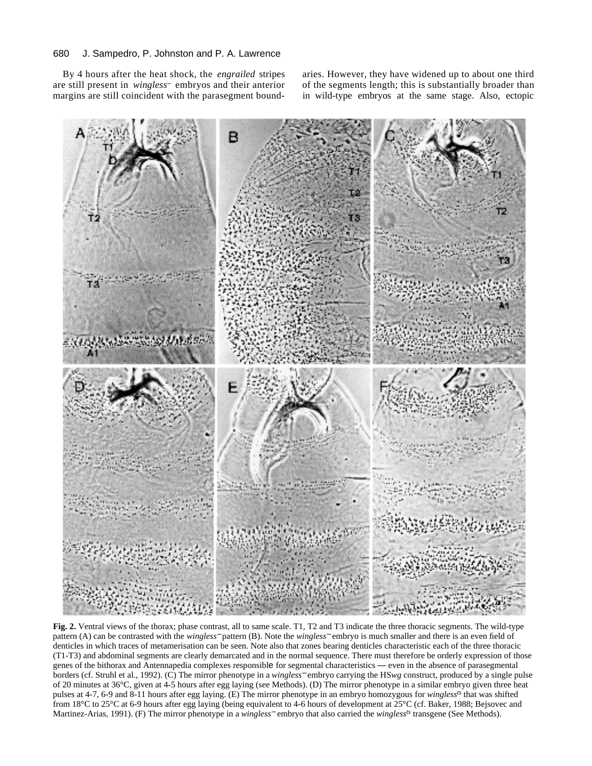By 4 hours after the heat shock, the *engrailed* stripes are still present in *wingless* embryos and their anterior margins are still coincident with the parasegment boundaries. However, they have widened up to about one third of the segments length; this is substantially broader than in wild-type embryos at the same stage. Also, ectopic



**Fig. 2.** Ventral views of the thorax; phase contrast, all to same scale. T1, T2 and T3 indicate the three thoracic segments. The wild-type pattern (A) can be contrasted with the *wingless*<sup>−</sup> pattern (B). Note the *wingless*<sup>−</sup> embryo is much smaller and there is an even field of denticles in which traces of metamerisation can be seen. Note also that zones bearing denticles characteristic each of the three thoracic (T1-T3) and abdominal segments are clearly demarcated and in the normal sequence. There must therefore be orderly expression of those genes of the bithorax and Antennapedia complexes responsible for segmental characteristics — even in the absence of parasegmental borders (cf. Struhl et al., 1992). (C) The mirror phenotype in a *wingless*<sup>−</sup> embryo carrying the HS*wg* construct, produced by a single pulse of 20 minutes at 36°C, given at 4-5 hours after egg laying (see Methods). (D) The mirror phenotype in a similar embryo given three heat pulses at 4-7, 6-9 and 8-11 hours after egg laying. (E) The mirror phenotype in an embryo homozygous for *winglessts* that was shifted from 18°C to 25°C at 6-9 hours after egg laying (being equivalent to 4-6 hours of development at 25°C (cf. Baker, 1988; Bejsovec and Martinez-Arias, 1991). (F) The mirror phenotype in a *wingless*<sup>−</sup> embryo that also carried the *winglessts* transgene (See Methods).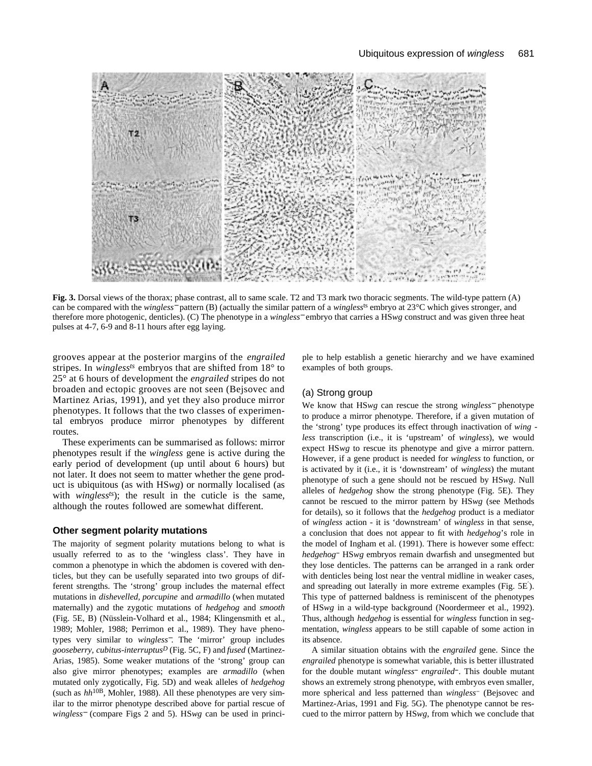

**Fig. 3.** Dorsal views of the thorax; phase contrast, all to same scale. T2 and T3 mark two thoracic segments. The wild-type pattern (A) can be compared with the *wingless*<sup>−</sup> pattern (B) (actually the similar pattern of a *wingless*ts embryo at 23°C which gives stronger, and therefore more photogenic, denticles). (C) The phenotype in a *wingless*<sup>−</sup> embryo that carries a HS*wg* construct and was given three heat pulses at 4-7, 6-9 and 8-11 hours after egg laying.

grooves appear at the posterior margins of the *engrailed* stripes. In *wingless<sup>ts</sup>* embryos that are shifted from 18° to 25° at 6 hours of development the *engrailed* stripes do not broaden and ectopic grooves are not seen (Bejsovec and Martinez Arias, 1991), and yet they also produce mirror phenotypes. It follows that the two classes of experimental embryos produce mirror phenotypes by different routes.

These experiments can be summarised as follows: mirror phenotypes result if the *wingless* gene is active during the early period of development (up until about 6 hours) but not later. It does not seem to matter whether the gene product is ubiquitous (as with HS*wg*) or normally localised (as with *winglessts*); the result in the cuticle is the same, although the routes followed are somewhat different.

### **Other segment polarity mutations**

The majority of segment polarity mutations belong to what is usually referred to as to the 'wingless class'. They have in common a phenotype in which the abdomen is covered with denticles, but they can be usefully separated into two groups of different strengths. The 'strong' group includes the maternal effect mutations in *dishevelled, porcupine* and *armadillo* (when mutated maternally) and the zygotic mutations of *hedgehog* and *smooth* (Fig. 5E, B) (Nüsslein-Volhard et al., 1984; Klingensmith et al., 1989; Mohler, 1988; Perrimon et al., 1989). They have phenotypes very similar to *wingless*−. The 'mirror' group includes *gooseberry, cubitus-interruptus<sup>D</sup>* (Fig. 5C, F) and *fused* (Martinez-Arias, 1985). Some weaker mutations of the 'strong' group can also give mirror phenotypes; examples are *armadillo* (when mutated only zygotically, Fig. 5D) and weak alleles of *hedgehog* (such as *hh*10B, Mohler, 1988). All these phenotypes are very similar to the mirror phenotype described above for partial rescue of *wingless*<sup>−</sup> (compare Figs 2 and 5). HS*wg* can be used in principle to help establish a genetic hierarchy and we have examined examples of both groups.

## (a) Strong group

We know that HS*wg* can rescue the strong *wingless*<sup>−</sup> phenotype to produce a mirror phenotype. Therefore, if a given mutation of the 'strong' type produces its effect through inactivation of *wing less* transcription (i.e., it is 'upstream' of *wingless*), we would expect HS*wg* to rescue its phenotype and give a mirror pattern. However, if a gene product is needed for *wingless* to function, or is activated by it (i.e., it is 'downstream' of *wingless*) the mutant phenotype of such a gene should not be rescued by HS*wg*. Null alleles of *hedgehog* show the strong phenotype (Fig. 5E). They cannot be rescued to the mirror pattern by HS*wg* (see Methods for details), so it follows that the *hedgehog* product is a mediator of *wingless* action - it is 'downstream' of *wingless* in that sense, a conclusion that does not appear to fit with *hedgehog*'s role in the model of Ingham et al. (1991). There is however some effect: *hedgehog* HS*wg* embryos remain dwarfish and unsegmented but they lose denticles. The patterns can be arranged in a rank order with denticles being lost near the ventral midline in weaker cases, and spreading out laterally in more extreme examples (Fig. 5E ). This type of patterned baldness is reminiscent of the phenotypes of HS*wg* in a wild-type background (Noordermeer et al., 1992). Thus, although *hedgehog* is essential for *wingless* function in segmentation, *wingless* appears to be still capable of some action in its absence.

A similar situation obtains with the *engrailed* gene. Since the *engrailed* phenotype is somewhat variable, this is better illustrated for the double mutant *wingless engrailed* . This double mutant shows an extremely strong phenotype, with embryos even smaller, more spherical and less patterned than *wingless* (Bejsovec and Martinez-Arias, 1991 and Fig. 5G). The phenotype cannot be rescued to the mirror pattern by HS*wg*, from which we conclude that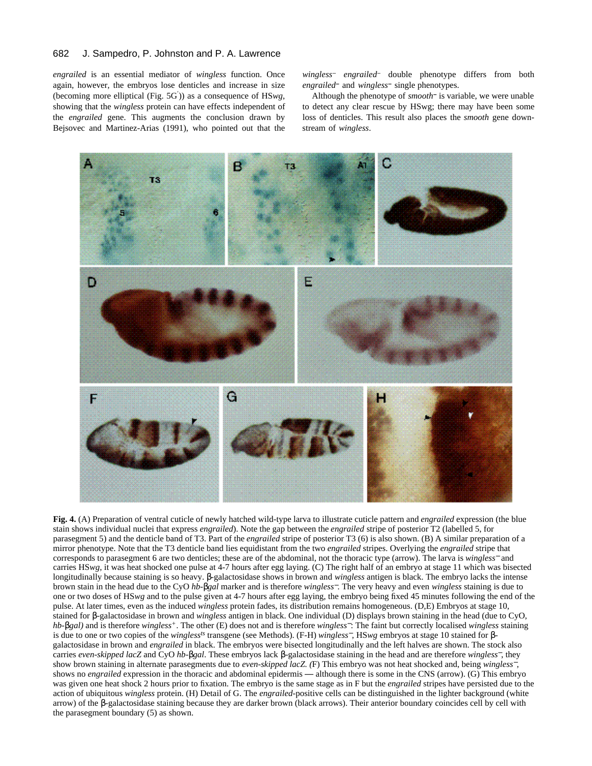*engrailed* is an essential mediator of *wingless* function. Once again, however, the embryos lose denticles and increase in size (becoming more elliptical (Fig. 5G )) as a consequence of HS*wg*, showing that the *wingless* protein can have effects independent of the *engrailed* gene. This augments the conclusion drawn by Bejsovec and Martinez-Arias (1991), who pointed out that the

*wingless engrailed* double phenotype differs from both *engrailed* and *wingless* single phenotypes.

Although the phenotype of *smooth* is variable, we were unable to detect any clear rescue by HSwg; there may have been some loss of denticles. This result also places the *smooth* gene downstream of *wingless*.



**Fig. 4.** (A) Preparation of ventral cuticle of newly hatched wild-type larva to illustrate cuticle pattern and *engrailed* expression (the blue stain shows individual nuclei that express *engrailed*). Note the gap between the *engrailed* stripe of posterior T2 (labelled 5, for parasegment 5) and the denticle band of T3. Part of the *engrailed* stripe of posterior T3 (6) is also shown. (B) A similar preparation of a mirror phenotype. Note that the T3 denticle band lies equidistant from the two *engrailed* stripes. Overlying the *engrailed* stripe that corresponds to parasegment 6 are two denticles; these are of the abdominal, not the thoracic type (arrow). The larva is *wingless*<sup>−</sup> and carries HS*wg*, it was heat shocked one pulse at 4-7 hours after egg laying. (C) The right half of an embryo at stage 11 which was bisected longitudinally because staining is so heavy. -galactosidase shows in brown and *wingless* antigen is black. The embryo lacks the intense brown stain in the head due to the CyO *hb- gal* marker and is therefore *wingless*−. The very heavy and even *wingless* staining is due to one or two doses of HS*wg* and to the pulse given at 4-7 hours after egg laying, the embryo being fixed 45 minutes following the end of the pulse. At later times, even as the induced *wingless* protein fades, its distribution remains homogeneous. (D,E) Embryos at stage 10, stained for -galactosidase in brown and *wingless* antigen in black. One individual (D) displays brown staining in the head (due to CyO, *hb- gal)* and is therefore *wingless+*. The other (E) does not and is therefore *wingless*−: The faint but correctly localised *wingless* staining is due to one or two copies of the *winglessts* transgene (see Methods). (F-H) *wingless*−, HS*wg* embryos at stage 10 stained for galactosidase in brown and *engrailed* in black. The embryos were bisected longitudinally and the left halves are shown. The stock also carries *even-skipped lacZ* and CyO *hb- gal*. These embryos lack -galactosidase staining in the head and are therefore *wingless*−, they show brown staining in alternate parasegments due to *even-skipped lacZ. (*F) This embryo was not heat shocked and, being *wingless*−, shows no *engrailed* expression in the thoracic and abdominal epidermis — although there is some in the CNS (arrow). (G) This embryo was given one heat shock 2 hours prior to fixation. The embryo is the same stage as in F but the *engrailed* stripes have persisted due to the action of ubiquitous *wingless* protein. (H) Detail of G. The *engrailed*-positive cells can be distinguished in the lighter background (white arrow) of the -galactosidase staining because they are darker brown (black arrows). Their anterior boundary coincides cell by cell with the parasegment boundary (5) as shown.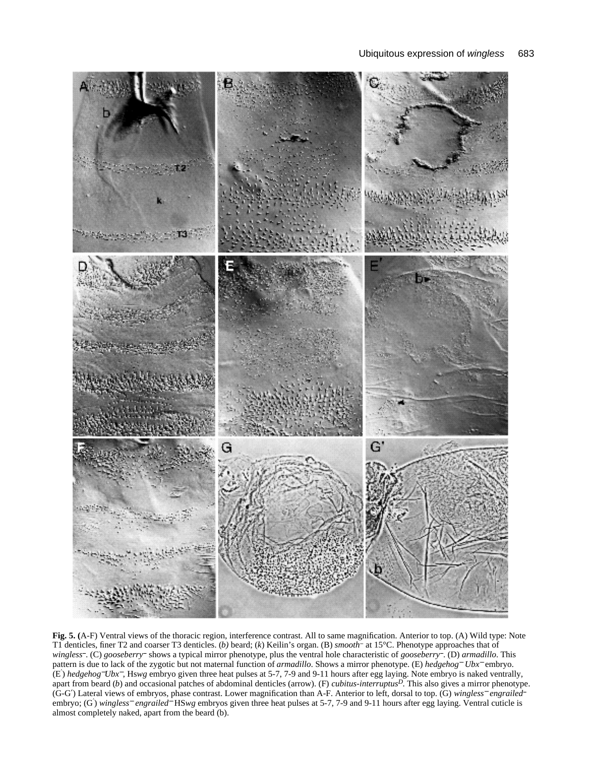

**Fig. 5. (**A-F) Ventral views of the thoracic region, interference contrast. All to same magnification. Anterior to top. (A) Wild type: Note T1 denticles, finer T2 and coarser T3 denticles. (*b)* beard; (*k*) Keilin's organ. (B) *smooth* at 15°C. Phenotype approaches that of *wingless* . (C) *gooseberry* shows a typical mirror phenotype, plus the ventral hole characteristic of *gooseberry* . (D) *armadillo*. This pattern is due to lack of the zygotic but not maternal function of *armadillo*. Shows a mirror phenotype. (E) *hedgehog*<sup>−</sup> *Ubx*<sup>−</sup> embryo. (E ) *hedgehog*−*Ubx*−, Hs*wg* embryo given three heat pulses at 5-7, 7-9 and 9-11 hours after egg laying. Note embryo is naked ventrally, apart from beard (*b*) and occasional patches of abdominal denticles (arrow). (F) *cubitus-interruptusD*. This also gives a mirror phenotype. (G-G ) Lateral views of embryos, phase contrast. Lower magnification than A-F. Anterior to left, dorsal to top. (G) *wingless*<sup>−</sup> *engrailed* embryo; (G ) *wingless*<sup>−</sup> *engrailed*<sup>−</sup> HS*wg* embryos given three heat pulses at 5-7, 7-9 and 9-11 hours after egg laying. Ventral cuticle is almost completely naked, apart from the beard (b).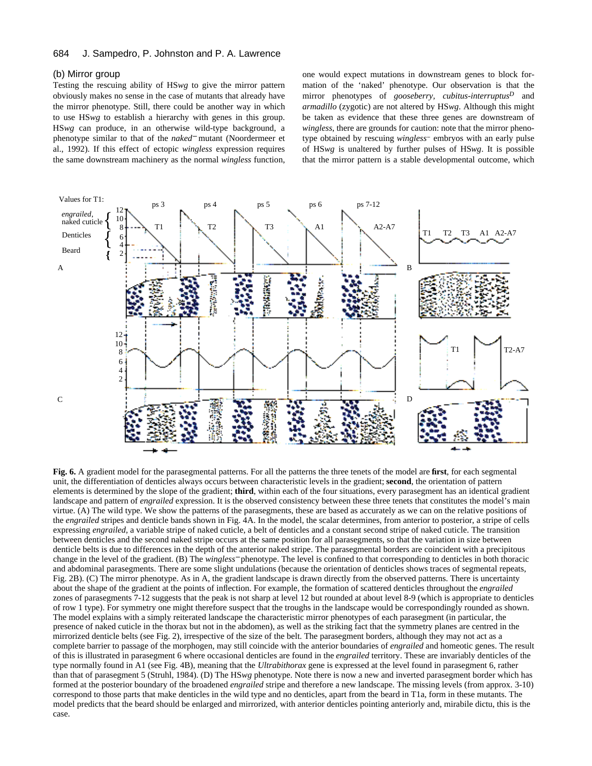## (b) Mirror group

Testing the rescuing ability of HS*wg* to give the mirror pattern obviously makes no sense in the case of mutants that already have the mirror phenotype. Still, there could be another way in which to use HS*wg* to establish a hierarchy with genes in this group. HS*wg* can produce, in an otherwise wild-type background, a phenotype similar to that of the *naked*<sup>−</sup> mutant (Noordermeer et al., 1992). If this effect of ectopic *wingless* expression requires the same downstream machinery as the normal *wingless* function, one would expect mutations in downstream genes to block formation of the 'naked' phenotype. Our observation is that the mirror phenotypes of *gooseberry, cubitus-interruptus<sup>D</sup>* and *armadillo* (zygotic) are not altered by HS*wg*. Although this might be taken as evidence that these three genes are downstream of *wingless*, there are grounds for caution: note that the mirror phenotype obtained by rescuing *wingless*<sup>-</sup> embryos with an early pulse of HS*wg* is unaltered by further pulses of HS*wg*. It is possible that the mirror pattern is a stable developmental outcome, which



**Fig. 6.** A gradient model for the parasegmental patterns. For all the patterns the three tenets of the model are **first**, for each segmental unit, the differentiation of denticles always occurs between characteristic levels in the gradient; **second**, the orientation of pattern elements is determined by the slope of the gradient; **third**, within each of the four situations, every parasegment has an identical gradient landscape and pattern of *engrailed* expression. It is the observed consistency between these three tenets that constitutes the model's main virtue. (A) The wild type. We show the patterns of the parasegments, these are based as accurately as we can on the relative positions of the *engrailed* stripes and denticle bands shown in Fig. 4A. In the model, the scalar determines, from anterior to posterior, a stripe of cells expressing *engrailed*, a variable stripe of naked cuticle, a belt of denticles and a constant second stripe of naked cuticle. The transition between denticles and the second naked stripe occurs at the same position for all parasegments, so that the variation in size between denticle belts is due to differences in the depth of the anterior naked stripe. The parasegmental borders are coincident with a precipitous change in the level of the gradient. (B) The *wingless*<sup>−</sup> phenotype. The level is confined to that corresponding to denticles in both thoracic and abdominal parasegments. There are some slight undulations (because the orientation of denticles shows traces of segmental repeats, Fig. 2B). (C) The mirror phenotype. As in A, the gradient landscape is drawn directly from the observed patterns. There is uncertainty about the shape of the gradient at the points of inflection. For example, the formation of scattered denticles throughout the *engrailed* zones of parasegments 7-12 suggests that the peak is not sharp at level 12 but rounded at about level 8-9 (which is appropriate to denticles of row 1 type). For symmetry one might therefore suspect that the troughs in the landscape would be correspondingly rounded as shown. The model explains with a simply reiterated landscape the characteristic mirror phenotypes of each parasegment (in particular, the presence of naked cuticle in the thorax but not in the abdomen), as well as the striking fact that the symmetry planes are centred in the mirrorized denticle belts (see Fig. 2), irrespective of the size of the belt. The parasegment borders, although they may not act as a complete barrier to passage of the morphogen, may still coincide with the anterior boundaries of *engrailed* and homeotic genes. The result of this is illustrated in parasegment 6 where occasional denticles are found in the *engrailed* territory. These are invariably denticles of the type normally found in A1 (see Fig. 4B), meaning that the *Ultrabithorax* gene is expressed at the level found in parasegment 6, rather than that of parasegment 5 (Struhl, 1984). (D) The HS*wg* phenotype. Note there is now a new and inverted parasegment border which has formed at the posterior boundary of the broadened *engrailed* stripe and therefore a new landscape. The missing levels (from approx. 3-10) correspond to those parts that make denticles in the wild type and no denticles, apart from the beard in T1a, form in these mutants. The model predicts that the beard should be enlarged and mirrorized, with anterior denticles pointing anteriorly and, mirabile dictu, this is the case.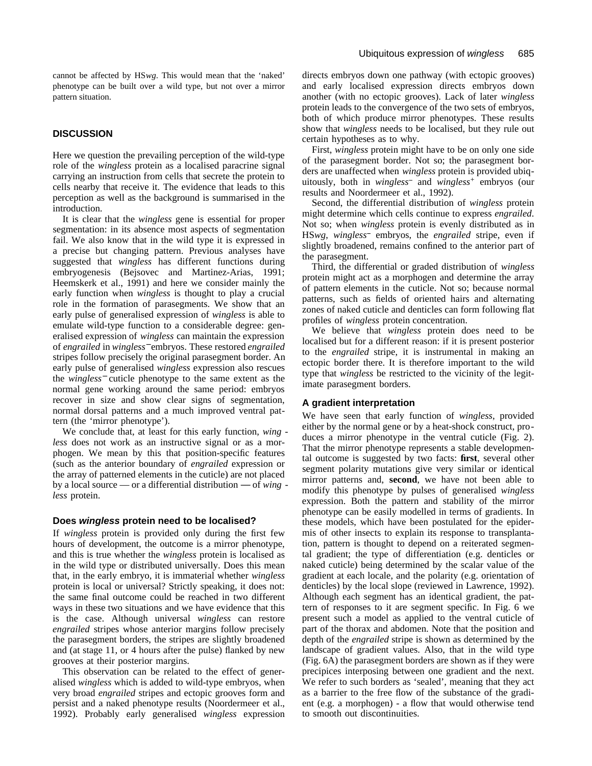cannot be affected by HS*wg*. This would mean that the 'naked' phenotype can be built over a wild type, but not over a mirror pattern situation.

## **DISCUSSION**

Here we question the prevailing perception of the wild-type role of the *wingless* protein as a localised paracrine signal carrying an instruction from cells that secrete the protein to cells nearby that receive it. The evidence that leads to this perception as well as the background is summarised in the introduction.

It is clear that the *wingless* gene is essential for proper segmentation: in its absence most aspects of segmentation fail. We also know that in the wild type it is expressed in a precise but changing pattern. Previous analyses have suggested that *wingless* has different functions during embryogenesis (Bejsovec and Martinez-Arias, 1991; Heemskerk et al., 1991) and here we consider mainly the early function when *wingless* is thought to play a crucial role in the formation of parasegments. We show that an early pulse of generalised expression of *wingless* is able to emulate wild-type function to a considerable degree: generalised expression of *wingless* can maintain the expression of *engrailed* in *wingless*−embryos. These restored *engrailed* stripes follow precisely the original parasegment border. An early pulse of generalised *wingless* expression also rescues the *wingless*<sup>−</sup> cuticle phenotype to the same extent as the normal gene working around the same period: embryos recover in size and show clear signs of segmentation, normal dorsal patterns and a much improved ventral pattern (the 'mirror phenotype').

We conclude that, at least for this early function, *wing less* does not work as an instructive signal or as a morphogen. We mean by this that position-specific features (such as the anterior boundary of *engrailed* expression or the array of patterned elements in the cuticle) are not placed by a local source — or a differential distribution — of *wing less* protein.

#### **Does wingless protein need to be localised?**

If *wingless* protein is provided only during the first few hours of development, the outcome is a mirror phenotype, and this is true whether the *wingless* protein is localised as in the wild type or distributed universally. Does this mean that, in the early embryo, it is immaterial whether *wingless* protein is local or universal? Strictly speaking, it does not: the same final outcome could be reached in two different ways in these two situations and we have evidence that this is the case. Although universal *wingless* can restore *engrailed* stripes whose anterior margins follow precisely the parasegment borders, the stripes are slightly broadened and (at stage 11, or 4 hours after the pulse) flanked by new grooves at their posterior margins.

This observation can be related to the effect of generalised *wingless* which is added to wild-type embryos, when very broad *engrailed* stripes and ectopic grooves form and persist and a naked phenotype results (Noordermeer et al., 1992). Probably early generalised *wingless* expression

directs embryos down one pathway (with ectopic grooves) and early localised expression directs embryos down another (with no ectopic grooves). Lack of later *wingless* protein leads to the convergence of the two sets of embryos, both of which produce mirror phenotypes. These results show that *wingless* needs to be localised, but they rule out certain hypotheses as to why.

First, *wingless* protein might have to be on only one side of the parasegment border. Not so; the parasegment borders are unaffected when *wingless* protein is provided ubiquitously, both in *wingless*<sup>-</sup> and *wingless*<sup>+</sup> embryos (our results and Noordermeer et al., 1992).

Second, the differential distribution of *wingless* protein might determine which cells continue to express *engrailed*. Not so; when *wingless* protein is evenly distributed as in HS*wg*, *wingless* embryos, the *engrailed* stripe, even if slightly broadened, remains confined to the anterior part of the parasegment.

Third, the differential or graded distribution of *wingless* protein might act as a morphogen and determine the array of pattern elements in the cuticle. Not so; because normal patterns, such as fields of oriented hairs and alternating zones of naked cuticle and denticles can form following flat profiles of *wingless* protein concentration.

We believe that *wingless* protein does need to be localised but for a different reason: if it is present posterior to the *engrailed* stripe, it is instrumental in making an ectopic border there. It is therefore important to the wild type that *wingless* be restricted to the vicinity of the legitimate parasegment borders.

## **A gradient interpretation**

We have seen that early function of *wingless*, provided either by the normal gene or by a heat-shock construct, produces a mirror phenotype in the ventral cuticle (Fig. 2). That the mirror phenotype represents a stable developmental outcome is suggested by two facts: **first**, several other segment polarity mutations give very similar or identical mirror patterns and, **second**, we have not been able to modify this phenotype by pulses of generalised *wingless* expression. Both the pattern and stability of the mirror phenotype can be easily modelled in terms of gradients. In these models, which have been postulated for the epidermis of other insects to explain its response to transplantation, pattern is thought to depend on a reiterated segmental gradient; the type of differentiation (e.g. denticles or naked cuticle) being determined by the scalar value of the gradient at each locale, and the polarity (e.g. orientation of denticles) by the local slope (reviewed in Lawrence, 1992). Although each segment has an identical gradient, the pattern of responses to it are segment specific. In Fig. 6 we present such a model as applied to the ventral cuticle of part of the thorax and abdomen. Note that the position and depth of the *engrailed* stripe is shown as determined by the landscape of gradient values. Also, that in the wild type (Fig. 6A) the parasegment borders are shown as if they were precipices interposing between one gradient and the next. We refer to such borders as 'sealed', meaning that they act as a barrier to the free flow of the substance of the gradient (e.g. a morphogen) - a flow that would otherwise tend to smooth out discontinuities.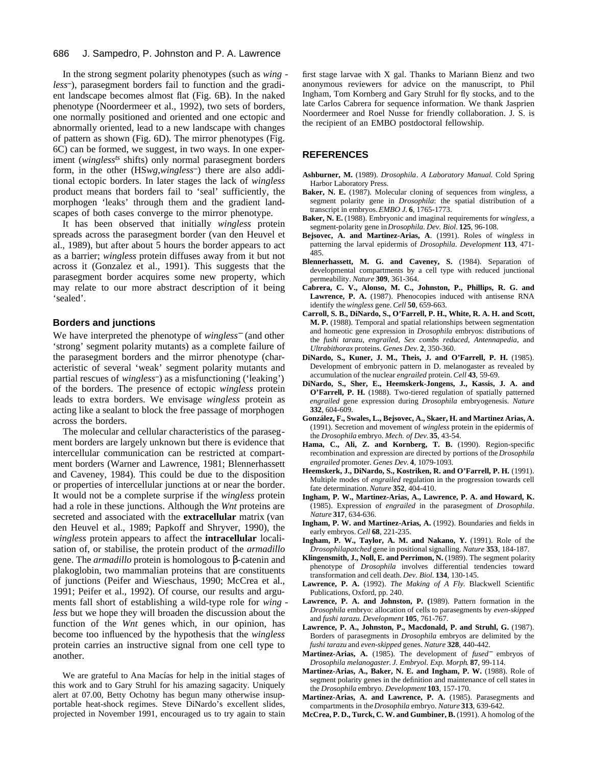In the strong segment polarity phenotypes (such as *wing less* ), parasegment borders fail to function and the gradient landscape becomes almost flat (Fig. 6B). In the naked phenotype (Noordermeer et al., 1992), two sets of borders, one normally positioned and oriented and one ectopic and abnormally oriented, lead to a new landscape with changes of pattern as shown (Fig. 6D). The mirror phenotypes (Fig. 6C) can be formed, we suggest, in two ways. In one experiment (*winglessts* shifts) only normal parasegment borders form, in the other (HS*wg*,*wingless* ) there are also additional ectopic borders. In later stages the lack of *wingless* product means that borders fail to 'seal' sufficiently, the morphogen 'leaks' through them and the gradient landscapes of both cases converge to the mirror phenotype.

It has been observed that initially *wingless* protein spreads across the parasegment border (van den Heuvel et al., 1989), but after about 5 hours the border appears to act as a barrier; *wingless* protein diffuses away from it but not across it (Gonzalez et al., 1991). This suggests that the parasegment border acquires some new property, which may relate to our more abstract description of it being 'sealed'.

## **Borders and junctions**

We have interpreted the phenotype of *wingless*<sup>−</sup> (and other 'strong' segment polarity mutants) as a complete failure of the parasegment borders and the mirror phenotype (characteristic of several 'weak' segment polarity mutants and partial rescues of *wingless* ) as a misfunctioning ('leaking') of the borders. The presence of ectopic *wingless* protein leads to extra borders. We envisage *wingless* protein as acting like a sealant to block the free passage of morphogen across the borders.

The molecular and cellular characteristics of the parasegment borders are largely unknown but there is evidence that intercellular communication can be restricted at compartment borders (Warner and Lawrence, 1981; Blennerhassett and Caveney, 1984). This could be due to the disposition or properties of intercellular junctions at or near the border. It would not be a complete surprise if the *wingless* protein had a role in these junctions. Although the *Wnt* proteins are secreted and associated with the **extracellular** matrix (van den Heuvel et al., 1989; Papkoff and Shryver, 1990), the *wingless* protein appears to affect the **intracellular** localisation of, or stabilise, the protein product of the *armadillo* gene. The *armadillo* protein is homologous to -catenin and plakoglobin, two mammalian proteins that are constituents of junctions (Peifer and Wieschaus, 1990; McCrea et al., 1991; Peifer et al., 1992). Of course, our results and arguments fall short of establishing a wild-type role for *wing less* but we hope they will broaden the discussion about the function of the *Wnt* genes which, in our opinion, has become too influenced by the hypothesis that the *wingless* protein carries an instructive signal from one cell type to another.

We are grateful to Ana Macías for help in the initial stages of this work and to Gary Struhl for his amazing sagacity. Uniquely alert at 07.00, Betty Ochotny has begun many otherwise insupportable heat-shock regimes. Steve DiNardo's excellent slides, projected in November 1991, encouraged us to try again to stain first stage larvae with X gal. Thanks to Mariann Bienz and two anonymous reviewers for advice on the manuscript, to Phil Ingham, Tom Kornberg and Gary Struhl for fly stocks, and to the late Carlos Cabrera for sequence information. We thank Jasprien Noordermeer and Roel Nusse for friendly collaboration. J. S. is the recipient of an EMBO postdoctoral fellowship.

## **REFERENCES**

- **Ashburner, M.** (1989). *Drosophila*. *A Laboratory Manual*. Cold Spring Harbor Laboratory Press.
- **Baker, N. E.** (1987). Molecular cloning of sequences from *wingless*, a segment polarity gene in *Drosophila*: the spatial distribution of a transcript in embryos. *EMBO J.* **6**, 1765-1773.
- **Baker, N. E.** (1988). Embryonic and imaginal requirements for *wingless*, a segment-polarity gene in *Drosophila*. *Dev. Biol*. **125**, 96-108.
- **Bejsovec, A. and Martinez-Arias, A**. (1991). Roles of *wingless* in patterning the larval epidermis of *Drosophila*. *Development* **113**, 471- 485.
- **Blennerhassett, M. G. and Caveney, S.** (1984). Separation of developmental compartments by a cell type with reduced junctional permeability. *Nature* **309**, 361-364.
- **Cabrera, C. V., Alonso, M. C., Johnston, P., Phillips, R. G. and Lawrence, P. A.** (1987). Phenocopies induced with antisense RNA identify the *wingless* gene. *Cell* **50**, 659-663.
- **Carroll, S. B., DiNardo, S., O'Farrell, P. H., White, R. A. H. and Scott, M. P.** (1988). Temporal and spatial relationships between segmentation and homeotic gene expression in *Drosophila* embryos: distributions of the *fushi tarazu*, *engrailed, Sex combs reduced, Antennapedia*, and *Ultrabithorax* proteins. *Genes Dev*. **2**, 350-360.
- **DiNardo, S., Kuner, J. M., Theis, J. and O'Farrell, P. H.** (1985). Development of embryonic pattern in D. melanogaster as revealed by accumulation of the nuclear *engrailed* protein. *Cell* **43**, 59-69.
- **DiNardo, S., Sher, E., Heemskerk-Jongens, J., Kassis, J. A. and O'Farrell, P. H.** (1988). Two-tiered regulation of spatially patterned *engrailed* gene expression during *Drosophila* embryogenesis. *Nature* **332**, 604-609.
- **González, F., Swales, L., Bejsovec, A., Skaer, H. and Martinez Arias, A.** (1991). Secretion and movement of *wingless* protein in the epidermis of the *Drosophila* embryo. *Mech. of Dev.* **35**, 43-54.
- **Hama, C., Ali, Z. and Kornberg, T. B.** (1990). Region-specific recombination and expression are directed by portions of the *Drosophila engrailed* promoter. *Genes Dev.* **4**, 1079-1093.
- **Heemskerk, J., DiNardo, S., Kostriken, R. and O'Farrell, P. H.** (1991). Multiple modes of *engrailed* regulation in the progression towards cell fate determination. *Nature* **352**, 404-410.
- **Ingham, P. W., Martinez-Arias, A., Lawrence, P. A. and Howard, K.** (1985). Expression of *engrailed* in the parasegment of *Drosophila*. *Nature* **317**, 634-636.
- **Ingham, P. W. and Martinez-Arias, A.** (1992). Boundaries and fields in early embryos. *Cell* **68**, 221-235.
- **Ingham, P. W., Taylor, A. M. and Nakano, Y.** (1991). Role of the *Drosophilapatched* gene in positional signalling. *Nature* **353**, 184-187.
- Klingensmith, J., Noll, E. and Perrimon, N. (1989). The segment polarity phenotype of *Drosophila* involves differential tendencies toward transformation and cell death. *Dev. Biol*. **134**, 130-145.
- **Lawrence, P. A.** (1992). *The Making of A Fly*. Blackwell Scientific Publications, Oxford, pp. 240.
- **Lawrence, P. A. and Johnston, P. (**1989). Pattern formation in the *Drosophila* embryo: allocation of cells to parasegments by *even-skipped* and *fushi tarazu*. *Development* **105**, 761-767.
- **Lawrence, P. A., Johnston, P., Macdonald, P. and Struhl, G.** (1987). Borders of parasegments in *Drosophila* embryos are delimited by the *fushi tarazu* and *even-skipped* genes. *Nature* **328**, 440-442.
- **Martinez-Arias, A.** (1985). The development of *fused*<sup>−</sup> embryos of *Drosophila melanogaster*. *J. Embryol. Exp. Morph*. **87**, 99-114.
- Martinez-Arias, A., Baker, N. E. and Ingham, P. W. (1988). Role of segment polarity genes in the definition and maintenance of cell states in the *Drosophila* embryo. *Development* **103**, 157-170.
- **Martinez-Arias, A. and Lawrence, P. A.** (1985). Parasegments and compartments in the *Drosophila* embryo. *Nature* **313**, 639-642.
- **McCrea, P. D., Turck, C. W. and Gumbiner, B.** (1991). A homolog of the